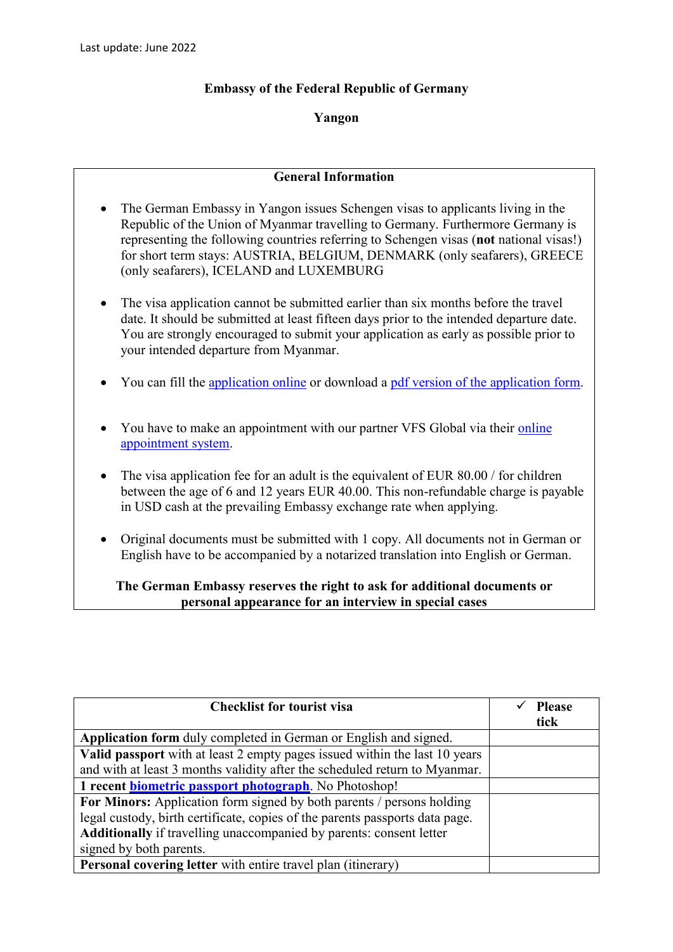## **Embassy of the Federal Republic of Germany**

## **Yangon**

## **General Information**

- The German Embassy in Yangon issues Schengen visas to applicants living in the Republic of the Union of Myanmar travelling to Germany. Furthermore Germany is representing the following countries referring to Schengen visas (**not** national visas!) for short term stays: AUSTRIA, BELGIUM, DENMARK (only seafarers), GREECE (only seafarers), ICELAND and LUXEMBURG
- The visa application cannot be submitted earlier than six months before the travel date. It should be submitted at least fifteen days prior to the intended departure date. You are strongly encouraged to submit your application as early as possible prior to your intended departure from Myanmar.
- You can fill the [application online](https://videx.diplo.de/videx/desktop/index.html#start) or download a [pdf version of the application form.](https://rangun.diplo.de/blob/2296922/0feb255c6e49752f82ab1e35bdda3656/antrag-schengenvisum-data.pdf)
- You have to make an appointment with our partner VFS Global via their online [appointment system.](https://www.vfsglobal.com/Germany/Myanmar/)
- The visa application fee for an adult is the equivalent of EUR 80.00 / for children between the age of 6 and 12 years EUR 40.00. This non-refundable charge is payable in USD cash at the prevailing Embassy exchange rate when applying.
- Original documents must be submitted with 1 copy. All documents not in German or English have to be accompanied by a notarized translation into English or German.

## **The German Embassy reserves the right to ask for additional documents or personal appearance for an interview in special cases**

| <b>Checklist for tourist visa</b>                                            | <b>Please</b><br>tick |
|------------------------------------------------------------------------------|-----------------------|
| <b>Application form</b> duly completed in German or English and signed.      |                       |
| Valid passport with at least 2 empty pages issued within the last 10 years   |                       |
| and with at least 3 months validity after the scheduled return to Myanmar.   |                       |
| 1 recent <b>biometric passport photograph</b> . No Photoshop!                |                       |
| For Minors: Application form signed by both parents / persons holding        |                       |
| legal custody, birth certificate, copies of the parents passports data page. |                       |
| Additionally if travelling unaccompanied by parents: consent letter          |                       |
| signed by both parents.                                                      |                       |
| Personal covering letter with entire travel plan (itinerary)                 |                       |